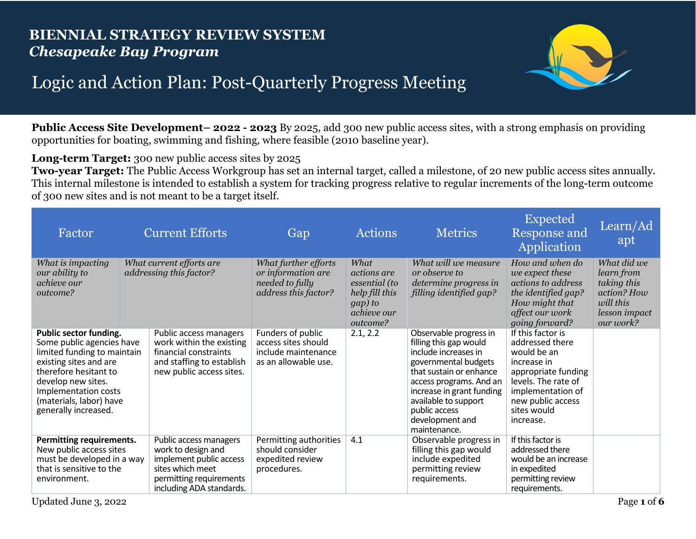## **BIENNIAL STRATEGY REVIEW SYSTEM** *Chesapeake Bay Program*



## Logic and Action Plan: Post-Quarterly Progress Meeting

**Public Access Site Development– 2022 - 2023** By 2025, add 300 new public access sites, with a strong emphasis on providing opportunities for boating, swimming and fishing, where feasible (2010 baseline year).

**Long-term Target:** 300 new public access sites by 2025

**Two-year Target:** The Public Access Workgroup has set an internal target, called a milestone, of 20 new public access sites annually. This internal milestone is intended to establish a system for tracking progress relative to regular increments of the long-term outcome of 300 new sites and is not meant to be a target itself.

| Factor                                                                                                                                                                                                                                 | <b>Current Efforts</b>                                                                                                                             | Gap                                                                                     | <b>Actions</b>                                                                                             | <b>Metrics</b>                                                                                                                                                                                                                                                  | <b>Expected</b><br><b>Response and</b><br>Application                                                                                                                                  | Learn/Ad<br>apt                                                                                    |
|----------------------------------------------------------------------------------------------------------------------------------------------------------------------------------------------------------------------------------------|----------------------------------------------------------------------------------------------------------------------------------------------------|-----------------------------------------------------------------------------------------|------------------------------------------------------------------------------------------------------------|-----------------------------------------------------------------------------------------------------------------------------------------------------------------------------------------------------------------------------------------------------------------|----------------------------------------------------------------------------------------------------------------------------------------------------------------------------------------|----------------------------------------------------------------------------------------------------|
| What is impacting<br>our ability to<br>achieve our<br>outcome?                                                                                                                                                                         | What current efforts are<br>addressing this factor?                                                                                                | What further efforts<br>or information are<br>needed to fully<br>address this factor?   | What<br><i>actions</i> are<br>essential (to<br>help fill this<br>gap) to<br><i>achieve our</i><br>outcome? | What will we measure<br>or observe to<br>determine progress in<br>filling identified gap?                                                                                                                                                                       | How and when do<br>we expect these<br>actions to address<br>the identified gap?<br>How might that<br>affect our work<br>going forward?                                                 | What did we<br>learn from<br>taking this<br>action? How<br>will this<br>lesson impact<br>our work? |
| Public sector funding.<br>Some public agencies have<br>limited funding to maintain<br>existing sites and are<br>therefore hesitant to<br>develop new sites.<br>Implementation costs<br>(materials, labor) have<br>generally increased. | Public access managers<br>work within the existing<br>financial constraints<br>and staffing to establish<br>new public access sites.               | Funders of public<br>access sites should<br>include maintenance<br>as an allowable use. | 2.1, 2.2                                                                                                   | Observable progress in<br>filling this gap would<br>include increases in<br>governmental budgets<br>that sustain or enhance<br>access programs. And an<br>increase in grant funding<br>available to support<br>public access<br>development and<br>maintenance. | If this factor is<br>addressed there<br>would be an<br>increase in<br>appropriate funding<br>levels. The rate of<br>implementation of<br>new public access<br>sites would<br>increase. |                                                                                                    |
| <b>Permitting requirements.</b><br>New public access sites<br>must be developed in a way<br>that is sensitive to the<br>environment.                                                                                                   | Public access managers<br>work to design and<br>implement public access<br>sites which meet<br>permitting requirements<br>including ADA standards. | Permitting authorities<br>should consider<br>expedited review<br>procedures.            | 4.1                                                                                                        | Observable progress in<br>filling this gap would<br>include expedited<br>permitting review<br>requirements.                                                                                                                                                     | If this factor is<br>addressed there<br>would be an increase<br>in expedited<br>permitting review<br>requirements.                                                                     |                                                                                                    |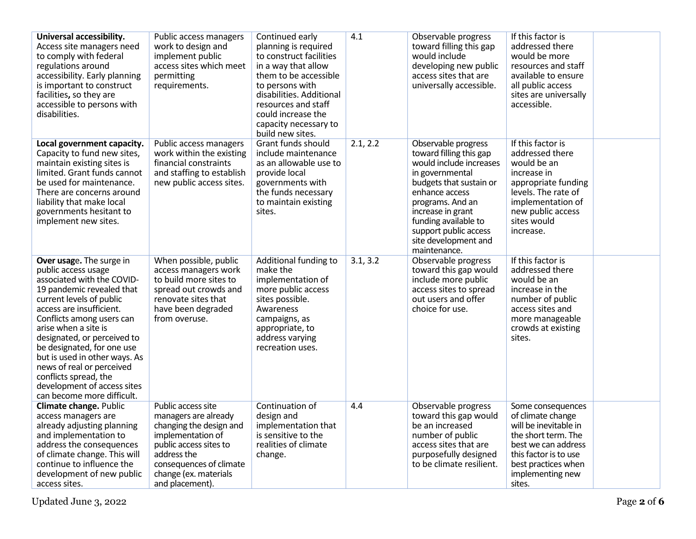| Universal accessibility.<br>Access site managers need<br>to comply with federal<br>regulations around<br>accessibility. Early planning<br>is important to construct<br>facilities, so they are<br>accessible to persons with<br>disabilities.                                                                                                                                                                                            | Public access managers<br>work to design and<br>implement public<br>access sites which meet<br>permitting<br>requirements.                                                                                 | Continued early<br>planning is required<br>to construct facilities<br>in a way that allow<br>them to be accessible<br>to persons with<br>disabilities. Additional<br>resources and staff<br>could increase the<br>capacity necessary to<br>build new sites. | 4.1      | Observable progress<br>toward filling this gap<br>would include<br>developing new public<br>access sites that are<br>universally accessible.                                                                                                                                | If this factor is<br>addressed there<br>would be more<br>resources and staff<br>available to ensure<br>all public access<br>sites are universally<br>accessible.                            |
|------------------------------------------------------------------------------------------------------------------------------------------------------------------------------------------------------------------------------------------------------------------------------------------------------------------------------------------------------------------------------------------------------------------------------------------|------------------------------------------------------------------------------------------------------------------------------------------------------------------------------------------------------------|-------------------------------------------------------------------------------------------------------------------------------------------------------------------------------------------------------------------------------------------------------------|----------|-----------------------------------------------------------------------------------------------------------------------------------------------------------------------------------------------------------------------------------------------------------------------------|---------------------------------------------------------------------------------------------------------------------------------------------------------------------------------------------|
| Local government capacity.<br>Capacity to fund new sites,<br>maintain existing sites is<br>limited. Grant funds cannot<br>be used for maintenance.<br>There are concerns around<br>liability that make local<br>governments hesitant to<br>implement new sites.                                                                                                                                                                          | Public access managers<br>work within the existing<br>financial constraints<br>and staffing to establish<br>new public access sites.                                                                       | Grant funds should<br>include maintenance<br>as an allowable use to<br>provide local<br>governments with<br>the funds necessary<br>to maintain existing<br>sites.                                                                                           | 2.1, 2.2 | Observable progress<br>toward filling this gap<br>would include increases<br>in governmental<br>budgets that sustain or<br>enhance access<br>programs. And an<br>increase in grant<br>funding available to<br>support public access<br>site development and<br>maintenance. | If this factor is<br>addressed there<br>would be an<br>increase in<br>appropriate funding<br>levels. The rate of<br>implementation of<br>new public access<br>sites would<br>increase.      |
| Over usage. The surge in<br>public access usage<br>associated with the COVID-<br>19 pandemic revealed that<br>current levels of public<br>access are insufficient.<br>Conflicts among users can<br>arise when a site is<br>designated, or perceived to<br>be designated, for one use<br>but is used in other ways. As<br>news of real or perceived<br>conflicts spread, the<br>development of access sites<br>can become more difficult. | When possible, public<br>access managers work<br>to build more sites to<br>spread out crowds and<br>renovate sites that<br>have been degraded<br>from overuse.                                             | Additional funding to<br>make the<br>implementation of<br>more public access<br>sites possible.<br>Awareness<br>campaigns, as<br>appropriate, to<br>address varying<br>recreation uses.                                                                     | 3.1, 3.2 | Observable progress<br>toward this gap would<br>include more public<br>access sites to spread<br>out users and offer<br>choice for use.                                                                                                                                     | If this factor is<br>addressed there<br>would be an<br>increase in the<br>number of public<br>access sites and<br>more manageable<br>crowds at existing<br>sites.                           |
| Climate change. Public<br>access managers are<br>already adjusting planning<br>and implementation to<br>address the consequences<br>of climate change. This will<br>continue to influence the<br>development of new public<br>access sites.                                                                                                                                                                                              | Public access site<br>managers are already<br>changing the design and<br>implementation of<br>public access sites to<br>address the<br>consequences of climate<br>change (ex. materials<br>and placement). | Continuation of<br>design and<br>implementation that<br>is sensitive to the<br>realities of climate<br>change.                                                                                                                                              | 4.4      | Observable progress<br>toward this gap would<br>be an increased<br>number of public<br>access sites that are<br>purposefully designed<br>to be climate resilient.                                                                                                           | Some consequences<br>of climate change<br>will be inevitable in<br>the short term. The<br>best we can address<br>this factor is to use<br>best practices when<br>implementing new<br>sites. |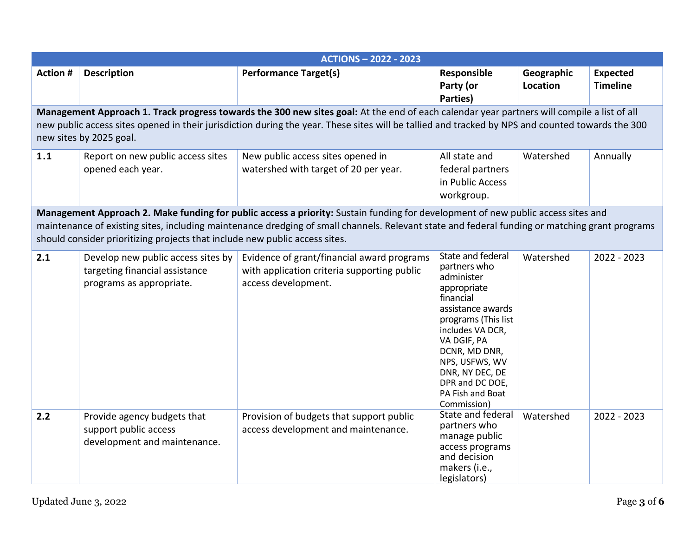|                 | <b>ACTIONS - 2022 - 2023</b>                                                                                                               |                                                                                                                                                  |                                                                                                                                                                                                                                                                        |                        |                                    |  |  |  |
|-----------------|--------------------------------------------------------------------------------------------------------------------------------------------|--------------------------------------------------------------------------------------------------------------------------------------------------|------------------------------------------------------------------------------------------------------------------------------------------------------------------------------------------------------------------------------------------------------------------------|------------------------|------------------------------------|--|--|--|
| <b>Action #</b> | <b>Description</b>                                                                                                                         | <b>Performance Target(s)</b>                                                                                                                     | Responsible<br>Party (or<br>Parties)                                                                                                                                                                                                                                   | Geographic<br>Location | <b>Expected</b><br><b>Timeline</b> |  |  |  |
|                 | Management Approach 1. Track progress towards the 300 new sites goal: At the end of each calendar year partners will compile a list of all |                                                                                                                                                  |                                                                                                                                                                                                                                                                        |                        |                                    |  |  |  |
|                 |                                                                                                                                            | new public access sites opened in their jurisdiction during the year. These sites will be tallied and tracked by NPS and counted towards the 300 |                                                                                                                                                                                                                                                                        |                        |                                    |  |  |  |
|                 | new sites by 2025 goal.                                                                                                                    |                                                                                                                                                  |                                                                                                                                                                                                                                                                        |                        |                                    |  |  |  |
| 1.1             | Report on new public access sites                                                                                                          | New public access sites opened in                                                                                                                | All state and                                                                                                                                                                                                                                                          | Watershed              | Annually                           |  |  |  |
|                 | opened each year.                                                                                                                          | watershed with target of 20 per year.                                                                                                            | federal partners                                                                                                                                                                                                                                                       |                        |                                    |  |  |  |
|                 |                                                                                                                                            |                                                                                                                                                  | in Public Access                                                                                                                                                                                                                                                       |                        |                                    |  |  |  |
|                 |                                                                                                                                            |                                                                                                                                                  | workgroup.                                                                                                                                                                                                                                                             |                        |                                    |  |  |  |
|                 |                                                                                                                                            |                                                                                                                                                  |                                                                                                                                                                                                                                                                        |                        |                                    |  |  |  |
|                 |                                                                                                                                            | Management Approach 2. Make funding for public access a priority: Sustain funding for development of new public access sites and                 |                                                                                                                                                                                                                                                                        |                        |                                    |  |  |  |
|                 |                                                                                                                                            | maintenance of existing sites, including maintenance dredging of small channels. Relevant state and federal funding or matching grant programs   |                                                                                                                                                                                                                                                                        |                        |                                    |  |  |  |
|                 | should consider prioritizing projects that include new public access sites.                                                                |                                                                                                                                                  |                                                                                                                                                                                                                                                                        |                        |                                    |  |  |  |
| 2.1             | Develop new public access sites by<br>targeting financial assistance<br>programs as appropriate.                                           | Evidence of grant/financial award programs<br>with application criteria supporting public<br>access development.                                 | State and federal<br>partners who<br>administer<br>appropriate<br>financial<br>assistance awards<br>programs (This list<br>includes VA DCR,<br>VA DGIF, PA<br>DCNR, MD DNR,<br>NPS, USFWS, WV<br>DNR, NY DEC, DE<br>DPR and DC DOE,<br>PA Fish and Boat<br>Commission) | Watershed              | 2022 - 2023                        |  |  |  |
| 2.2             | Provide agency budgets that<br>support public access<br>development and maintenance.                                                       | Provision of budgets that support public<br>access development and maintenance.                                                                  | State and federal<br>partners who<br>manage public<br>access programs<br>and decision<br>makers (i.e.,<br>legislators)                                                                                                                                                 | Watershed              | 2022 - 2023                        |  |  |  |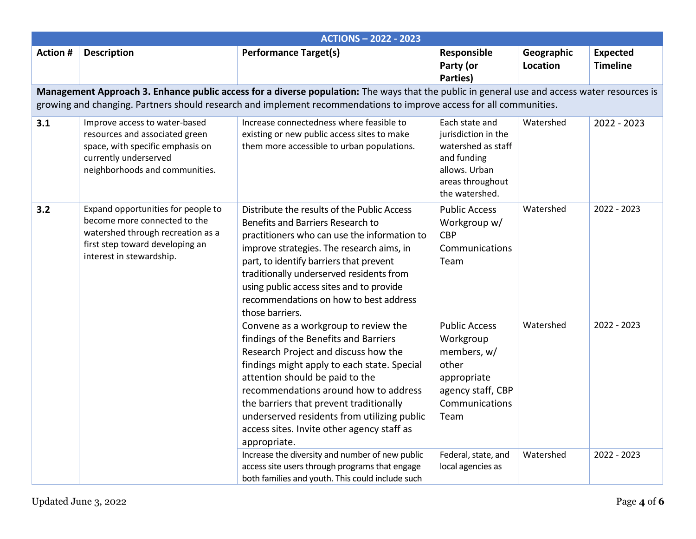|                 | <b>ACTIONS - 2022 - 2023</b>                                                                                                                                           |                                                                                                                                                                                                                                                                                                                                                                                                                                                             |                                                                                                                                                |                        |                                    |  |  |
|-----------------|------------------------------------------------------------------------------------------------------------------------------------------------------------------------|-------------------------------------------------------------------------------------------------------------------------------------------------------------------------------------------------------------------------------------------------------------------------------------------------------------------------------------------------------------------------------------------------------------------------------------------------------------|------------------------------------------------------------------------------------------------------------------------------------------------|------------------------|------------------------------------|--|--|
| <b>Action #</b> | <b>Description</b>                                                                                                                                                     | <b>Performance Target(s)</b>                                                                                                                                                                                                                                                                                                                                                                                                                                | Responsible<br>Party (or                                                                                                                       | Geographic<br>Location | <b>Expected</b><br><b>Timeline</b> |  |  |
|                 |                                                                                                                                                                        |                                                                                                                                                                                                                                                                                                                                                                                                                                                             | Parties)                                                                                                                                       |                        |                                    |  |  |
|                 |                                                                                                                                                                        | Management Approach 3. Enhance public access for a diverse population: The ways that the public in general use and access water resources is                                                                                                                                                                                                                                                                                                                |                                                                                                                                                |                        |                                    |  |  |
|                 |                                                                                                                                                                        | growing and changing. Partners should research and implement recommendations to improve access for all communities.                                                                                                                                                                                                                                                                                                                                         |                                                                                                                                                |                        |                                    |  |  |
| 3.1             | Improve access to water-based<br>resources and associated green<br>space, with specific emphasis on<br>currently underserved<br>neighborhoods and communities.         | Increase connectedness where feasible to<br>existing or new public access sites to make<br>them more accessible to urban populations.                                                                                                                                                                                                                                                                                                                       | Each state and<br>jurisdiction in the<br>watershed as staff<br>and funding<br>allows. Urban<br>areas throughout<br>the watershed.              | Watershed              | 2022 - 2023                        |  |  |
| 3.2             | Expand opportunities for people to<br>become more connected to the<br>watershed through recreation as a<br>first step toward developing an<br>interest in stewardship. | Distribute the results of the Public Access<br>Benefits and Barriers Research to<br>practitioners who can use the information to<br>improve strategies. The research aims, in<br>part, to identify barriers that prevent<br>traditionally underserved residents from<br>using public access sites and to provide<br>recommendations on how to best address<br>those barriers.                                                                               | <b>Public Access</b><br>Workgroup w/<br><b>CBP</b><br>Communications<br>Team                                                                   | Watershed              | 2022 - 2023                        |  |  |
|                 |                                                                                                                                                                        | Convene as a workgroup to review the<br>findings of the Benefits and Barriers<br>Research Project and discuss how the<br>findings might apply to each state. Special<br>attention should be paid to the<br>recommendations around how to address<br>the barriers that prevent traditionally<br>underserved residents from utilizing public<br>access sites. Invite other agency staff as<br>appropriate.<br>Increase the diversity and number of new public | <b>Public Access</b><br>Workgroup<br>members, w/<br>other<br>appropriate<br>agency staff, CBP<br>Communications<br>Team<br>Federal, state, and | Watershed<br>Watershed | 2022 - 2023<br>2022 - 2023         |  |  |
|                 |                                                                                                                                                                        | access site users through programs that engage<br>both families and youth. This could include such                                                                                                                                                                                                                                                                                                                                                          | local agencies as                                                                                                                              |                        |                                    |  |  |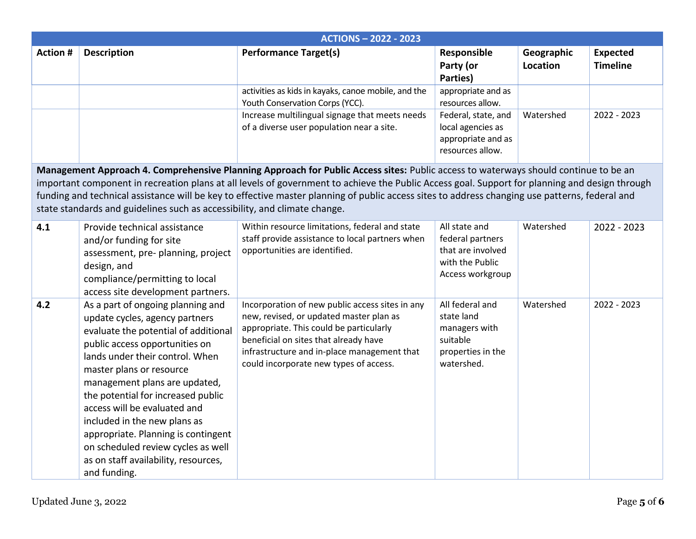|                 | <b>ACTIONS - 2022 - 2023</b>                                                                                                                                                                                                                                                                                                                                                                                                                                                                                         |                                                                                                                                                                                                                                                                         |                                                                                               |                        |                                    |  |  |
|-----------------|----------------------------------------------------------------------------------------------------------------------------------------------------------------------------------------------------------------------------------------------------------------------------------------------------------------------------------------------------------------------------------------------------------------------------------------------------------------------------------------------------------------------|-------------------------------------------------------------------------------------------------------------------------------------------------------------------------------------------------------------------------------------------------------------------------|-----------------------------------------------------------------------------------------------|------------------------|------------------------------------|--|--|
| <b>Action #</b> | <b>Description</b>                                                                                                                                                                                                                                                                                                                                                                                                                                                                                                   | <b>Performance Target(s)</b>                                                                                                                                                                                                                                            | Responsible<br>Party (or<br>Parties)                                                          | Geographic<br>Location | <b>Expected</b><br><b>Timeline</b> |  |  |
|                 |                                                                                                                                                                                                                                                                                                                                                                                                                                                                                                                      | activities as kids in kayaks, canoe mobile, and the<br>Youth Conservation Corps (YCC).                                                                                                                                                                                  | appropriate and as<br>resources allow.                                                        |                        |                                    |  |  |
|                 |                                                                                                                                                                                                                                                                                                                                                                                                                                                                                                                      | Increase multilingual signage that meets needs<br>of a diverse user population near a site.                                                                                                                                                                             | Federal, state, and<br>local agencies as<br>appropriate and as<br>resources allow.            | Watershed              | 2022 - 2023                        |  |  |
|                 | Management Approach 4. Comprehensive Planning Approach for Public Access sites: Public access to waterways should continue to be an<br>important component in recreation plans at all levels of government to achieve the Public Access goal. Support for planning and design through<br>funding and technical assistance will be key to effective master planning of public access sites to address changing use patterns, federal and<br>state standards and guidelines such as accessibility, and climate change. |                                                                                                                                                                                                                                                                         |                                                                                               |                        |                                    |  |  |
| 4.1             | Provide technical assistance<br>and/or funding for site<br>assessment, pre- planning, project<br>design, and<br>compliance/permitting to local<br>access site development partners.                                                                                                                                                                                                                                                                                                                                  | Within resource limitations, federal and state<br>staff provide assistance to local partners when<br>opportunities are identified.                                                                                                                                      | All state and<br>federal partners<br>that are involved<br>with the Public<br>Access workgroup | Watershed              | 2022 - 2023                        |  |  |
| 4.2             | As a part of ongoing planning and<br>update cycles, agency partners<br>evaluate the potential of additional<br>public access opportunities on<br>lands under their control. When<br>master plans or resource<br>management plans are updated,<br>the potential for increased public<br>access will be evaluated and<br>included in the new plans as<br>appropriate. Planning is contingent<br>on scheduled review cycles as well<br>as on staff availability, resources,<br>and funding.                             | Incorporation of new public access sites in any<br>new, revised, or updated master plan as<br>appropriate. This could be particularly<br>beneficial on sites that already have<br>infrastructure and in-place management that<br>could incorporate new types of access. | All federal and<br>state land<br>managers with<br>suitable<br>properties in the<br>watershed. | Watershed              | 2022 - 2023                        |  |  |